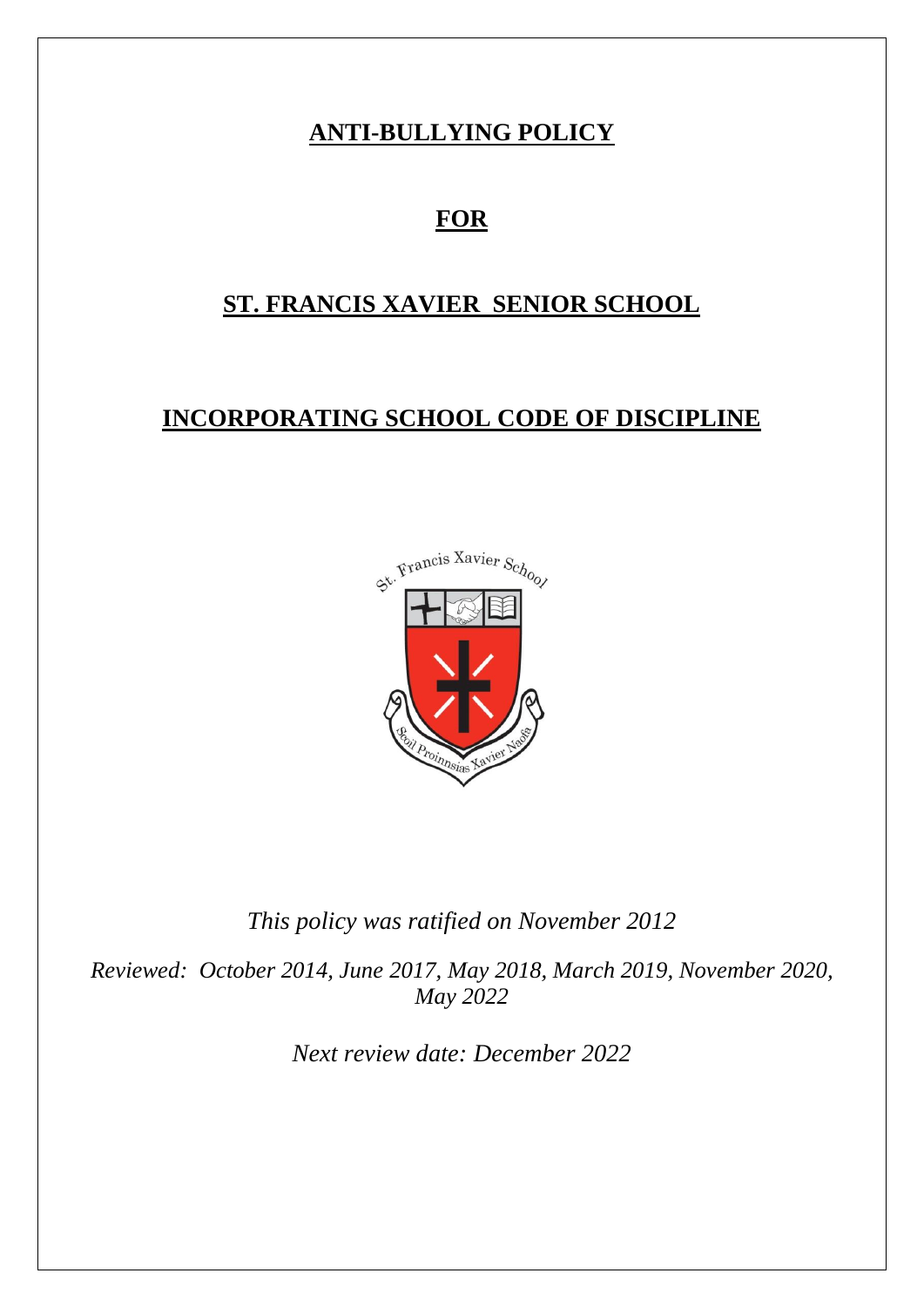# **ANTI-BULLYING POLICY**

# **FOR**

# **ST. FRANCIS XAVIER SENIOR SCHOOL**

# **INCORPORATING SCHOOL CODE OF DISCIPLINE**



*This policy was ratified on November 2012*

*Reviewed: October 2014, June 2017, May 2018, March 2019, November 2020, May 2022*

*Next review date: December 2022*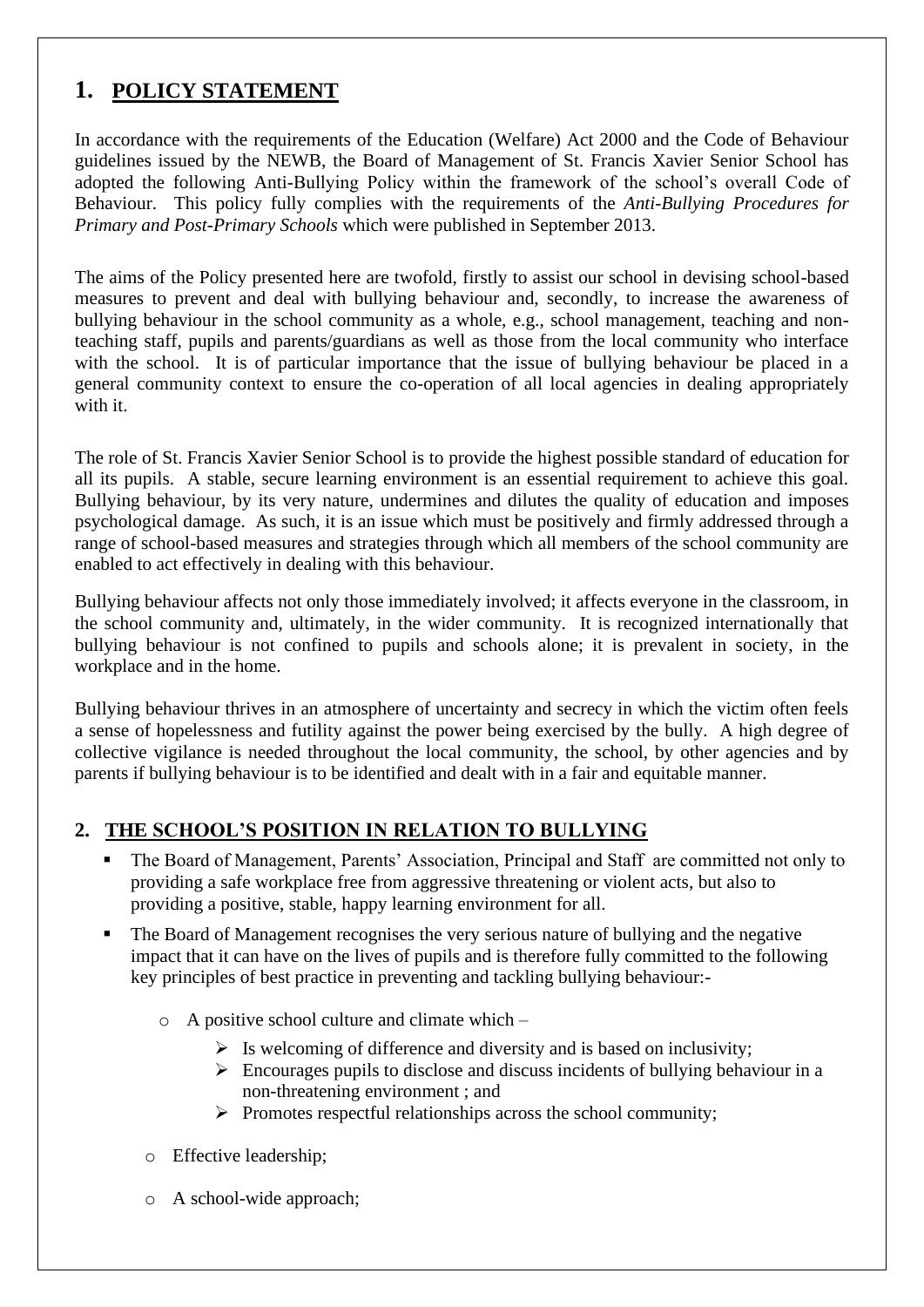## **1. POLICY STATEMENT**

In accordance with the requirements of the Education (Welfare) Act 2000 and the Code of Behaviour guidelines issued by the NEWB, the Board of Management of St. Francis Xavier Senior School has adopted the following Anti-Bullying Policy within the framework of the school's overall Code of Behaviour. This policy fully complies with the requirements of the *Anti-Bullying Procedures for Primary and Post-Primary Schools* which were published in September 2013.

The aims of the Policy presented here are twofold, firstly to assist our school in devising school-based measures to prevent and deal with bullying behaviour and, secondly, to increase the awareness of bullying behaviour in the school community as a whole, e.g., school management, teaching and nonteaching staff, pupils and parents/guardians as well as those from the local community who interface with the school. It is of particular importance that the issue of bullying behaviour be placed in a general community context to ensure the co-operation of all local agencies in dealing appropriately with it.

The role of St. Francis Xavier Senior School is to provide the highest possible standard of education for all its pupils. A stable, secure learning environment is an essential requirement to achieve this goal. Bullying behaviour, by its very nature, undermines and dilutes the quality of education and imposes psychological damage. As such, it is an issue which must be positively and firmly addressed through a range of school-based measures and strategies through which all members of the school community are enabled to act effectively in dealing with this behaviour.

Bullying behaviour affects not only those immediately involved; it affects everyone in the classroom, in the school community and, ultimately, in the wider community. It is recognized internationally that bullying behaviour is not confined to pupils and schools alone; it is prevalent in society, in the workplace and in the home.

Bullying behaviour thrives in an atmosphere of uncertainty and secrecy in which the victim often feels a sense of hopelessness and futility against the power being exercised by the bully. A high degree of collective vigilance is needed throughout the local community, the school, by other agencies and by parents if bullying behaviour is to be identified and dealt with in a fair and equitable manner.

### **2. THE SCHOOL'S POSITION IN RELATION TO BULLYING**

- The Board of Management, Parents' Association, Principal and Staff are committed not only to providing a safe workplace free from aggressive threatening or violent acts, but also to providing a positive, stable, happy learning environment for all.
- The Board of Management recognises the very serious nature of bullying and the negative impact that it can have on the lives of pupils and is therefore fully committed to the following key principles of best practice in preventing and tackling bullying behaviour:
	- o A positive school culture and climate which
		- $\triangleright$  Is welcoming of difference and diversity and is based on inclusivity;
		- $\triangleright$  Encourages pupils to disclose and discuss incidents of bullying behaviour in a non-threatening environment ; and
		- $\triangleright$  Promotes respectful relationships across the school community;
	- o Effective leadership;
	- o A school-wide approach;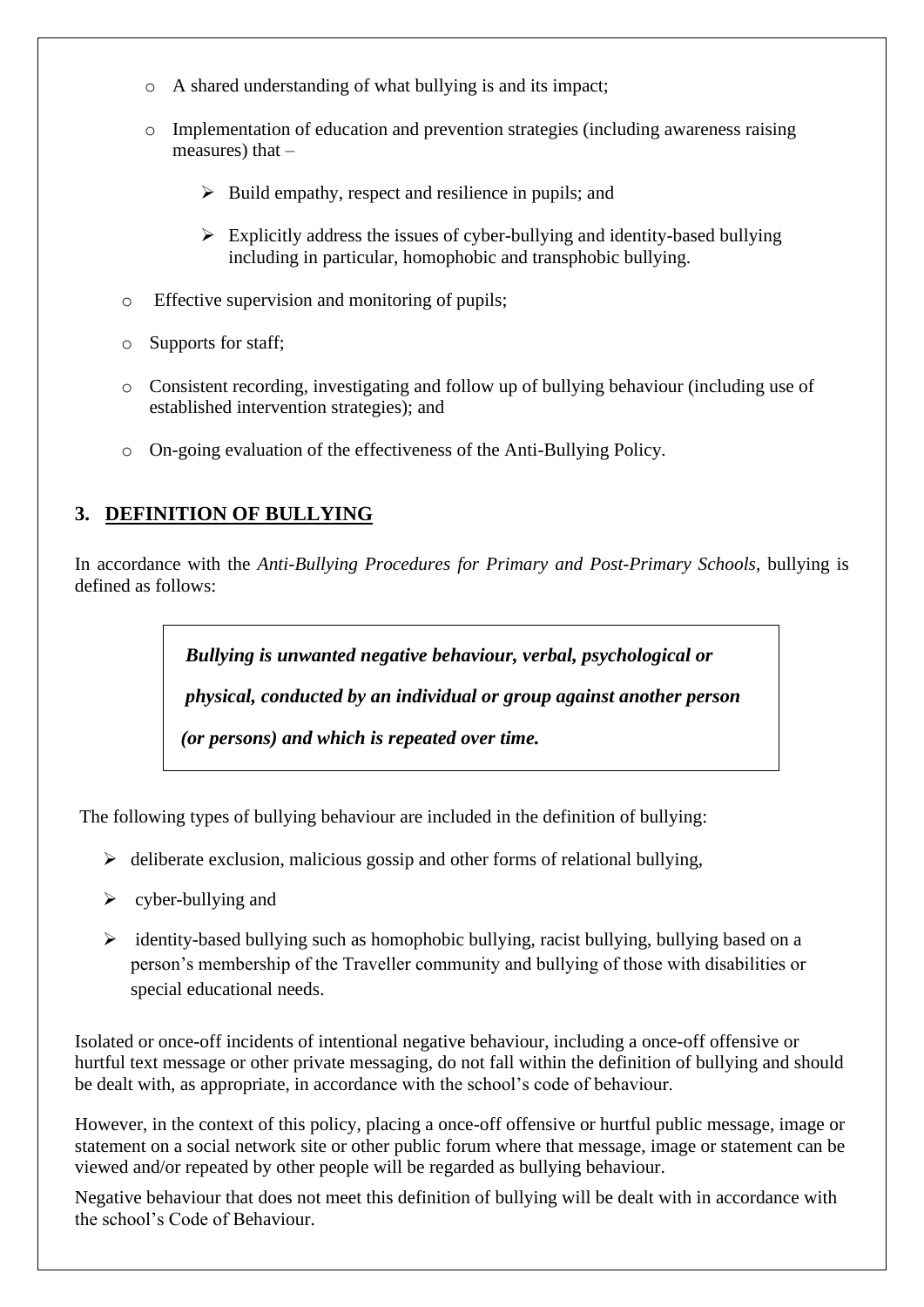- o A shared understanding of what bullying is and its impact;
- o Implementation of education and prevention strategies (including awareness raising measures) that –
	- $\triangleright$  Build empathy, respect and resilience in pupils; and
	- $\triangleright$  Explicitly address the issues of cyber-bullying and identity-based bullying including in particular, homophobic and transphobic bullying.
- o Effective supervision and monitoring of pupils;
- o Supports for staff;
- o Consistent recording, investigating and follow up of bullying behaviour (including use of established intervention strategies); and
- o On-going evaluation of the effectiveness of the Anti-Bullying Policy.

## **3. DEFINITION OF BULLYING**

In accordance with the *Anti-Bullying Procedures for Primary and Post-Primary Schools*, bullying is defined as follows:

> *Bullying is unwanted negative behaviour, verbal, psychological or physical, conducted by an individual or group against another person (or persons) and which is repeated over time.*

The following types of bullying behaviour are included in the definition of bullying:

- $\triangleright$  deliberate exclusion, malicious gossip and other forms of relational bullying,
- $\triangleright$  cyber-bullying and
- $\triangleright$  identity-based bullying such as homophobic bullying, racist bullying, bullying based on a person's membership of the Traveller community and bullying of those with disabilities or special educational needs.

Isolated or once-off incidents of intentional negative behaviour, including a once-off offensive or hurtful text message or other private messaging, do not fall within the definition of bullying and should be dealt with, as appropriate, in accordance with the school's code of behaviour.

However, in the context of this policy, placing a once-off offensive or hurtful public message, image or statement on a social network site or other public forum where that message, image or statement can be viewed and/or repeated by other people will be regarded as bullying behaviour.

Negative behaviour that does not meet this definition of bullying will be dealt with in accordance with the school's Code of Behaviour.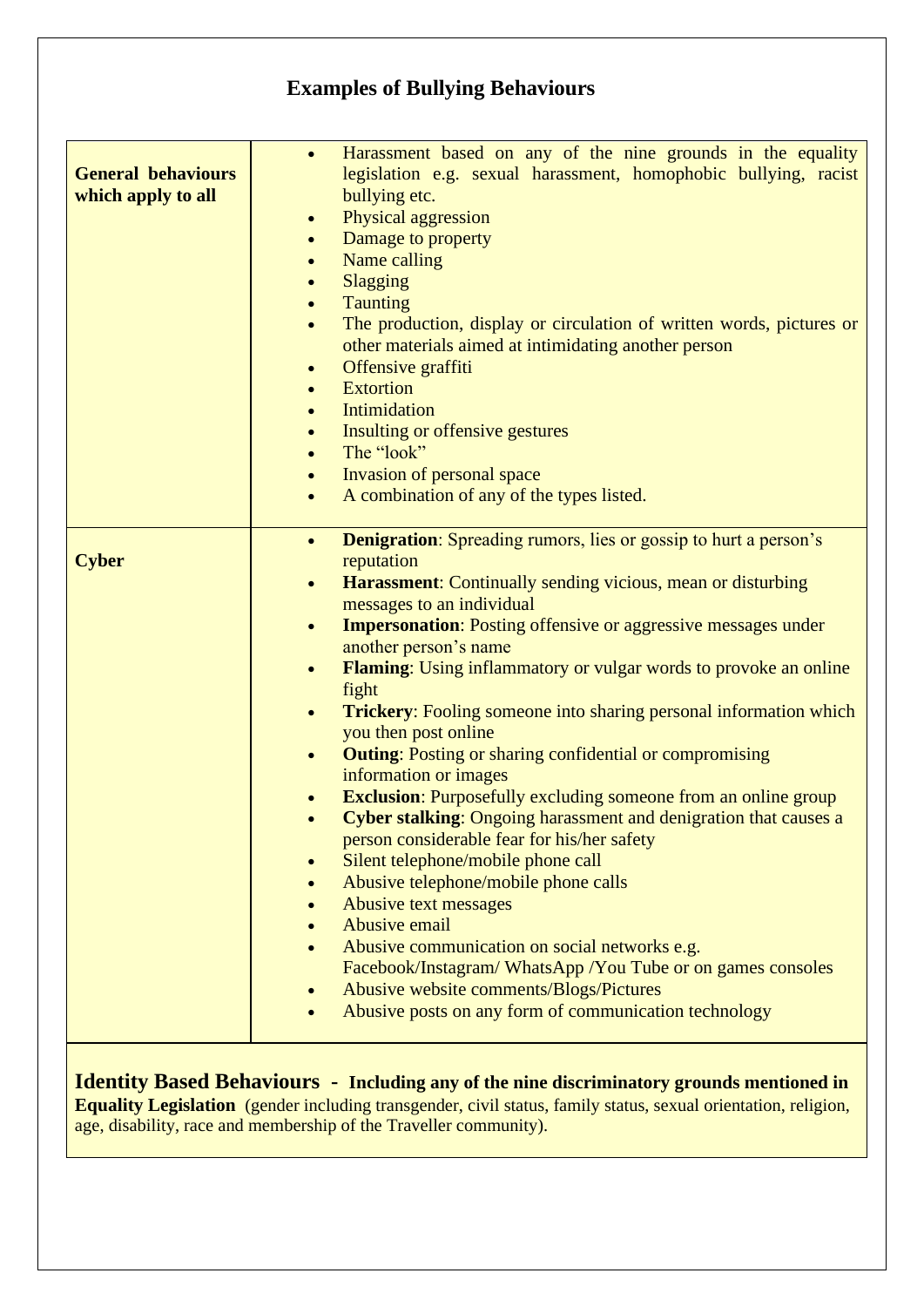# **Examples of Bullying Behaviours**

| <b>General behaviours</b><br>which apply to all | Harassment based on any of the nine grounds in the equality<br>$\bullet$<br>legislation e.g. sexual harassment, homophobic bullying, racist<br>bullying etc.<br>Physical aggression<br>$\bullet$<br>Damage to property<br>Name calling<br>Slagging<br><b>Taunting</b><br>The production, display or circulation of written words, pictures or<br>$\bullet$<br>other materials aimed at intimidating another person<br>Offensive graffiti<br>$\bullet$<br><b>Extortion</b><br>Intimidation<br>$\bullet$<br>Insulting or offensive gestures<br>$\bullet$<br>The "look"<br>Invasion of personal space<br>A combination of any of the types listed.<br>$\bullet$ |
|-------------------------------------------------|--------------------------------------------------------------------------------------------------------------------------------------------------------------------------------------------------------------------------------------------------------------------------------------------------------------------------------------------------------------------------------------------------------------------------------------------------------------------------------------------------------------------------------------------------------------------------------------------------------------------------------------------------------------|
| <b>Cyber</b>                                    | <b>Denigration:</b> Spreading rumors, lies or gossip to hurt a person's<br>$\bullet$<br>reputation<br>Harassment: Continually sending vicious, mean or disturbing<br>$\bullet$<br>messages to an individual                                                                                                                                                                                                                                                                                                                                                                                                                                                  |
|                                                 | <b>Impersonation:</b> Posting offensive or aggressive messages under<br>$\bullet$<br>another person's name<br>Flaming: Using inflammatory or vulgar words to provoke an online<br>$\bullet$                                                                                                                                                                                                                                                                                                                                                                                                                                                                  |
|                                                 | fight<br><b>Trickery:</b> Fooling someone into sharing personal information which<br>$\bullet$<br>you then post online                                                                                                                                                                                                                                                                                                                                                                                                                                                                                                                                       |
|                                                 | <b>Outing:</b> Posting or sharing confidential or compromising<br>$\bullet$<br>information or images                                                                                                                                                                                                                                                                                                                                                                                                                                                                                                                                                         |
|                                                 | <b>Exclusion:</b> Purposefully excluding someone from an online group<br><b>Cyber stalking:</b> Ongoing harassment and denigration that causes a<br>$\bullet$<br>person considerable fear for his/her safety                                                                                                                                                                                                                                                                                                                                                                                                                                                 |
|                                                 | Silent telephone/mobile phone call<br>Abusive telephone/mobile phone calls                                                                                                                                                                                                                                                                                                                                                                                                                                                                                                                                                                                   |
|                                                 | Abusive text messages                                                                                                                                                                                                                                                                                                                                                                                                                                                                                                                                                                                                                                        |
|                                                 | Abusive email<br>Abusive communication on social networks e.g.                                                                                                                                                                                                                                                                                                                                                                                                                                                                                                                                                                                               |
|                                                 | Facebook/Instagram/WhatsApp/You Tube or on games consoles                                                                                                                                                                                                                                                                                                                                                                                                                                                                                                                                                                                                    |
|                                                 | Abusive website comments/Blogs/Pictures<br>Abusive posts on any form of communication technology                                                                                                                                                                                                                                                                                                                                                                                                                                                                                                                                                             |
|                                                 |                                                                                                                                                                                                                                                                                                                                                                                                                                                                                                                                                                                                                                                              |

**Identity Based Behaviours - Including any of the nine discriminatory grounds mentioned in Equality Legislation** (gender including transgender, civil status, family status, sexual orientation, religion, age, disability, race and membership of the Traveller community).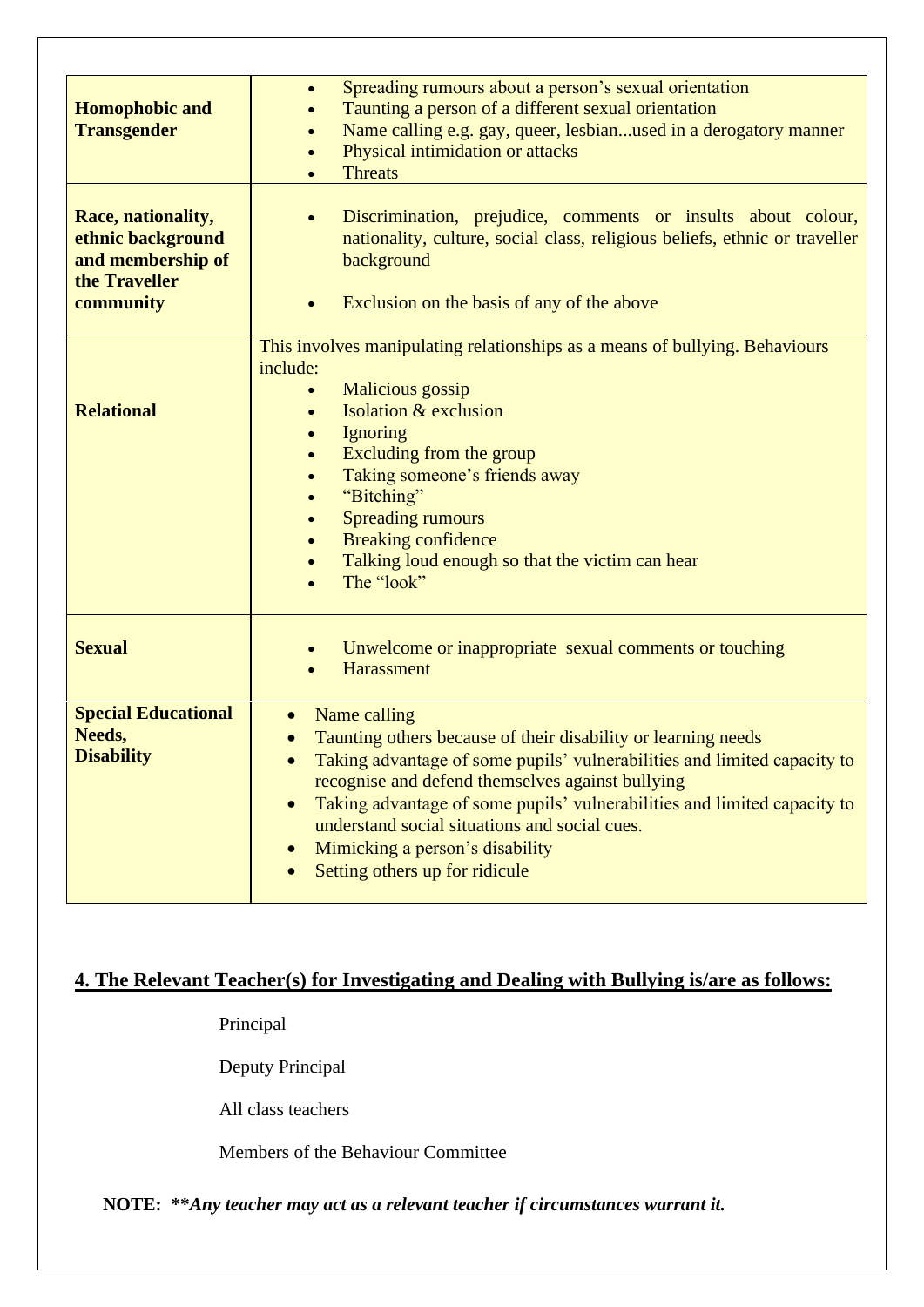| <b>Homophobic and</b><br><b>Transgender</b><br>Race, nationality,<br>ethnic background<br>and membership of<br>the Traveller<br>community | Spreading rumours about a person's sexual orientation<br>$\bullet$<br>Taunting a person of a different sexual orientation<br>Name calling e.g. gay, queer, lesbianused in a derogatory manner<br>Physical intimidation or attacks<br><b>Threats</b><br>Discrimination, prejudice, comments or insults about colour,<br>nationality, culture, social class, religious beliefs, ethnic or traveller<br>background<br>Exclusion on the basis of any of the above |
|-------------------------------------------------------------------------------------------------------------------------------------------|---------------------------------------------------------------------------------------------------------------------------------------------------------------------------------------------------------------------------------------------------------------------------------------------------------------------------------------------------------------------------------------------------------------------------------------------------------------|
| <b>Relational</b>                                                                                                                         | This involves manipulating relationships as a means of bullying. Behaviours<br>include:<br>Malicious gossip<br>Isolation & exclusion<br>Ignoring<br>Excluding from the group<br>Taking someone's friends away<br>$\bullet$<br>"Bitching"<br><b>Spreading rumours</b><br><b>Breaking confidence</b><br>$\bullet$<br>Talking loud enough so that the victim can hear<br>The "look"                                                                              |
| <b>Sexual</b>                                                                                                                             | Unwelcome or inappropriate sexual comments or touching<br><b>Harassment</b>                                                                                                                                                                                                                                                                                                                                                                                   |
| <b>Special Educational</b><br>Needs,<br><b>Disability</b>                                                                                 | Name calling<br>Taunting others because of their disability or learning needs<br>Taking advantage of some pupils' vulnerabilities and limited capacity to<br>recognise and defend themselves against bullying<br>Taking advantage of some pupils' vulnerabilities and limited capacity to<br>understand social situations and social cues.<br>Mimicking a person's disability<br>Setting others up for ridicule                                               |

# **4. The Relevant Teacher(s) for Investigating and Dealing with Bullying is/are as follows:**

Principal

Deputy Principal

All class teachers

Members of the Behaviour Committee

 **NOTE: \*\****Any teacher may act as a relevant teacher if circumstances warrant it.*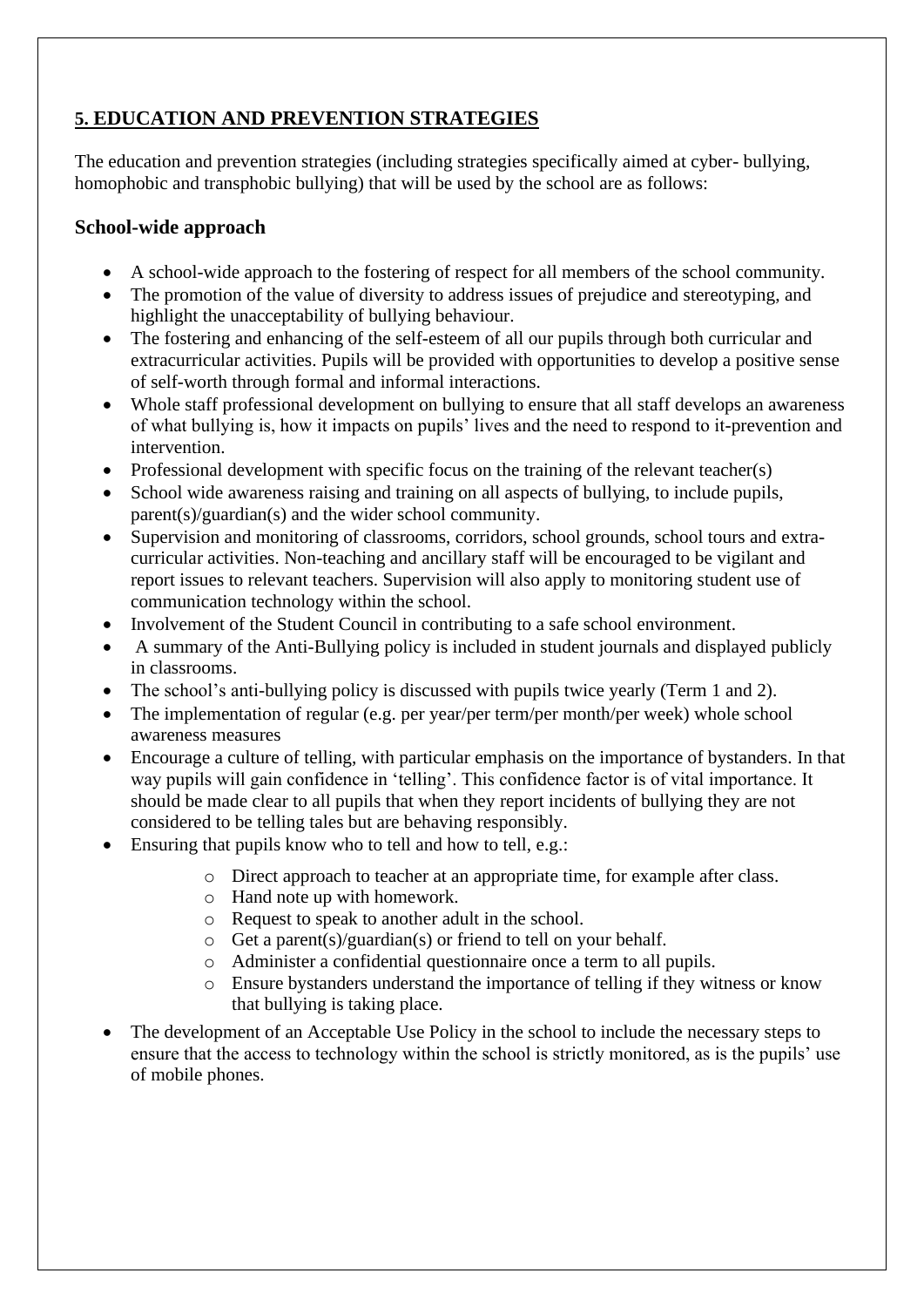## **5. EDUCATION AND PREVENTION STRATEGIES**

The education and prevention strategies (including strategies specifically aimed at cyber- bullying, homophobic and transphobic bullying) that will be used by the school are as follows:

#### **School-wide approach**

- A school-wide approach to the fostering of respect for all members of the school community.
- The promotion of the value of diversity to address issues of prejudice and stereotyping, and highlight the unacceptability of bullying behaviour.
- The fostering and enhancing of the self-esteem of all our pupils through both curricular and extracurricular activities. Pupils will be provided with opportunities to develop a positive sense of self-worth through formal and informal interactions.
- Whole staff professional development on bullying to ensure that all staff develops an awareness of what bullying is, how it impacts on pupils' lives and the need to respond to it-prevention and intervention.
- Professional development with specific focus on the training of the relevant teacher(s)
- School wide awareness raising and training on all aspects of bullying, to include pupils, parent(s)/guardian(s) and the wider school community.
- Supervision and monitoring of classrooms, corridors, school grounds, school tours and extracurricular activities. Non-teaching and ancillary staff will be encouraged to be vigilant and report issues to relevant teachers. Supervision will also apply to monitoring student use of communication technology within the school.
- Involvement of the Student Council in contributing to a safe school environment.
- A summary of the Anti-Bullying policy is included in student journals and displayed publicly in classrooms.
- The school's anti-bullying policy is discussed with pupils twice yearly (Term 1 and 2).
- The implementation of regular (e.g. per year/per term/per month/per week) whole school awareness measures
- Encourage a culture of telling, with particular emphasis on the importance of bystanders. In that way pupils will gain confidence in 'telling'. This confidence factor is of vital importance. It should be made clear to all pupils that when they report incidents of bullying they are not considered to be telling tales but are behaving responsibly.
- Ensuring that pupils know who to tell and how to tell, e.g.:
	- o Direct approach to teacher at an appropriate time, for example after class.
	- o Hand note up with homework.
	- o Request to speak to another adult in the school.
	- o Get a parent(s)/guardian(s) or friend to tell on your behalf.
	- o Administer a confidential questionnaire once a term to all pupils.
	- o Ensure bystanders understand the importance of telling if they witness or know that bullying is taking place.
- The development of an Acceptable Use Policy in the school to include the necessary steps to ensure that the access to technology within the school is strictly monitored, as is the pupils' use of mobile phones.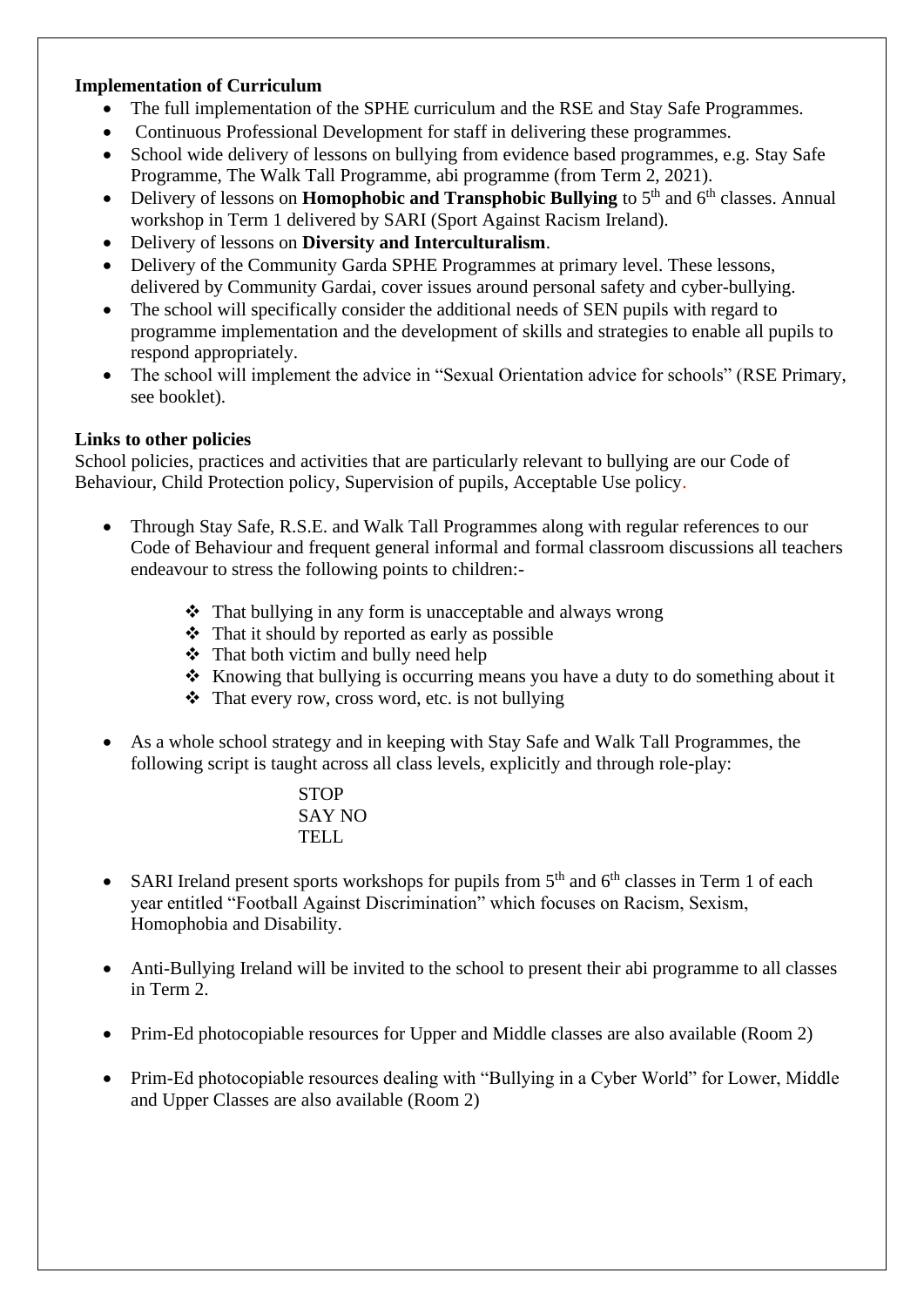#### **Implementation of Curriculum**

- The full implementation of the SPHE curriculum and the RSE and Stay Safe Programmes.
- Continuous Professional Development for staff in delivering these programmes.
- School wide delivery of lessons on bullying from evidence based programmes, e.g. Stay Safe Programme, The Walk Tall Programme, abi programme (from Term 2, 2021).
- Delivery of lessons on **Homophobic and Transphobic Bullying** to  $5<sup>th</sup>$  and  $6<sup>th</sup>$  classes. Annual workshop in Term 1 delivered by SARI (Sport Against Racism Ireland).
- Delivery of lessons on **Diversity and Interculturalism**.
- Delivery of the Community Garda SPHE Programmes at primary level. These lessons, delivered by Community Gardai, cover issues around personal safety and cyber-bullying.
- The school will specifically consider the additional needs of SEN pupils with regard to programme implementation and the development of skills and strategies to enable all pupils to respond appropriately.
- The school will implement the advice in "Sexual Orientation advice for schools" (RSE Primary, see booklet).

#### **Links to other policies**

School policies, practices and activities that are particularly relevant to bullying are our Code of Behaviour, Child Protection policy, Supervision of pupils, Acceptable Use policy.

- Through Stay Safe, R.S.E. and Walk Tall Programmes along with regular references to our Code of Behaviour and frequent general informal and formal classroom discussions all teachers endeavour to stress the following points to children:-
	- ❖ That bullying in any form is unacceptable and always wrong
	- ❖ That it should by reported as early as possible
	- ❖ That both victim and bully need help
	- ❖ Knowing that bullying is occurring means you have a duty to do something about it
	- ❖ That every row, cross word, etc. is not bullying
- As a whole school strategy and in keeping with Stay Safe and Walk Tall Programmes, the following script is taught across all class levels, explicitly and through role-play:

STOP SAY NO TELL

- SARI Ireland present sports workshops for pupils from  $5<sup>th</sup>$  and  $6<sup>th</sup>$  classes in Term 1 of each year entitled "Football Against Discrimination" which focuses on Racism, Sexism, Homophobia and Disability.
- Anti-Bullying Ireland will be invited to the school to present their abi programme to all classes in Term 2.
- Prim-Ed photocopiable resources for Upper and Middle classes are also available (Room 2)
- Prim-Ed photocopiable resources dealing with "Bullying in a Cyber World" for Lower, Middle and Upper Classes are also available (Room 2)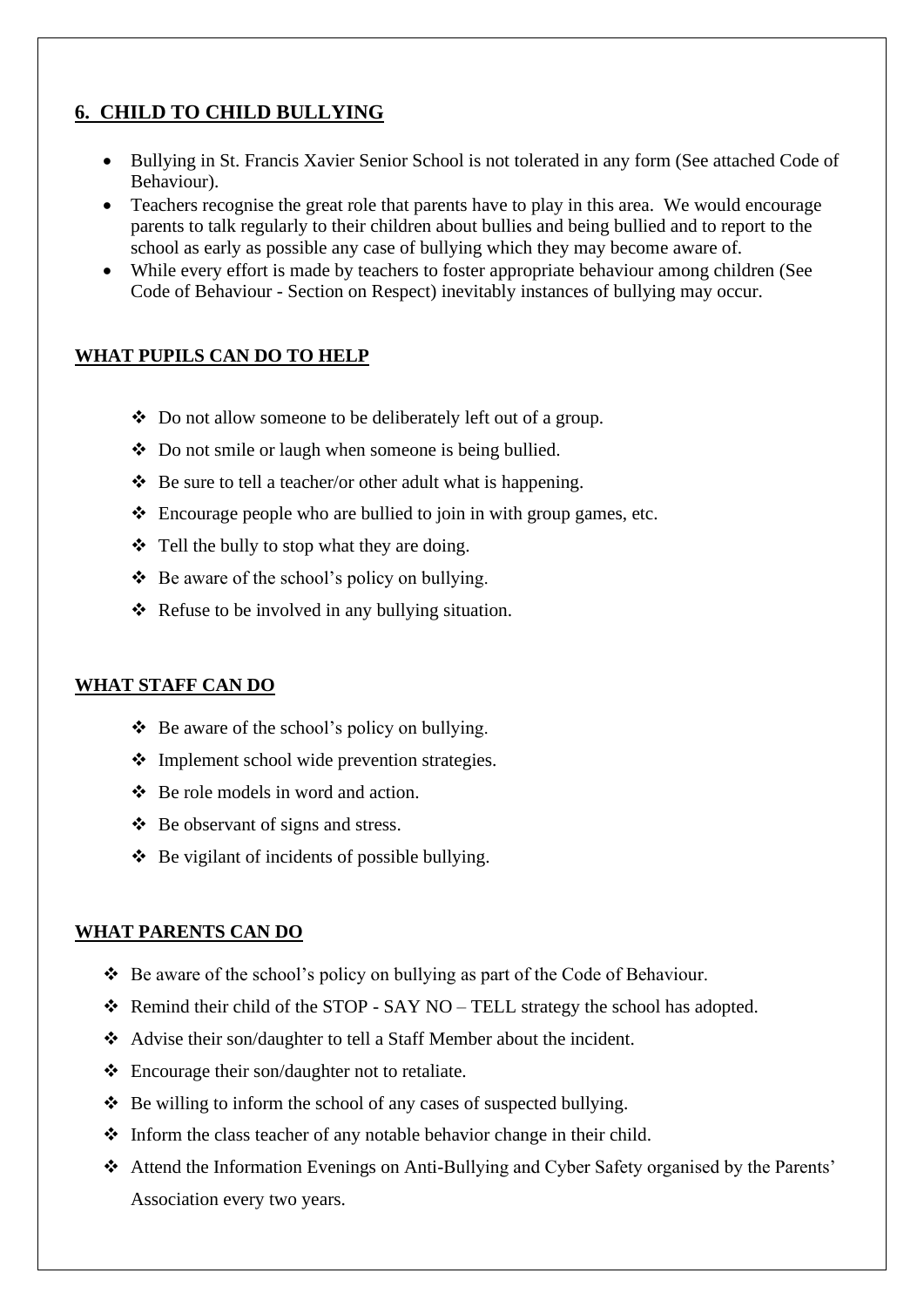## **6. CHILD TO CHILD BULLYING**

- Bullying in St. Francis Xavier Senior School is not tolerated in any form (See attached Code of Behaviour).
- Teachers recognise the great role that parents have to play in this area. We would encourage parents to talk regularly to their children about bullies and being bullied and to report to the school as early as possible any case of bullying which they may become aware of.
- While every effort is made by teachers to foster appropriate behaviour among children (See Code of Behaviour - Section on Respect) inevitably instances of bullying may occur.

#### **WHAT PUPILS CAN DO TO HELP**

- ❖ Do not allow someone to be deliberately left out of a group.
- ❖ Do not smile or laugh when someone is being bullied.
- $\triangle$  Be sure to tell a teacher/or other adult what is happening.
- ❖ Encourage people who are bullied to join in with group games, etc.
- ❖ Tell the bully to stop what they are doing.
- ❖ Be aware of the school's policy on bullying.
- ❖ Refuse to be involved in any bullying situation.

#### **WHAT STAFF CAN DO**

- ❖ Be aware of the school's policy on bullying.
- ❖ Implement school wide prevention strategies.
- ❖ Be role models in word and action.
- ❖ Be observant of signs and stress.
- ❖ Be vigilant of incidents of possible bullying.

#### **WHAT PARENTS CAN DO**

- ❖ Be aware of the school's policy on bullying as part of the Code of Behaviour.
- ❖ Remind their child of the STOP SAY NO TELL strategy the school has adopted.
- ❖ Advise their son/daughter to tell a Staff Member about the incident.
- ❖ Encourage their son/daughter not to retaliate.
- ❖ Be willing to inform the school of any cases of suspected bullying.
- ❖ Inform the class teacher of any notable behavior change in their child.
- ❖ Attend the Information Evenings on Anti-Bullying and Cyber Safety organised by the Parents' Association every two years.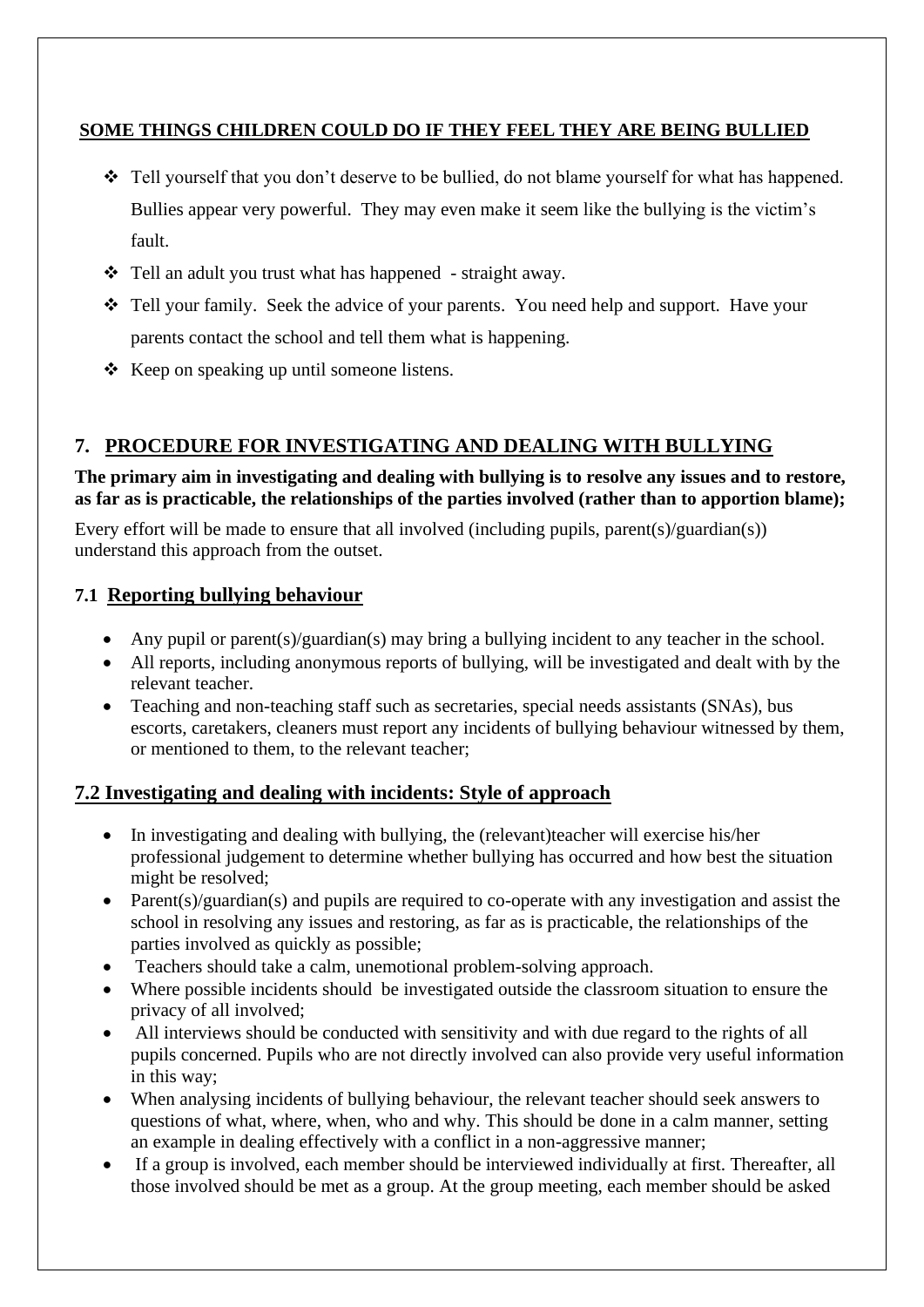#### **SOME THINGS CHILDREN COULD DO IF THEY FEEL THEY ARE BEING BULLIED**

- ❖ Tell yourself that you don't deserve to be bullied, do not blame yourself for what has happened. Bullies appear very powerful. They may even make it seem like the bullying is the victim's fault.
- ❖ Tell an adult you trust what has happened straight away.
- ❖ Tell your family. Seek the advice of your parents. You need help and support. Have your parents contact the school and tell them what is happening.
- ❖ Keep on speaking up until someone listens.

### **7. PROCEDURE FOR INVESTIGATING AND DEALING WITH BULLYING**

#### **The primary aim in investigating and dealing with bullying is to resolve any issues and to restore, as far as is practicable, the relationships of the parties involved (rather than to apportion blame);**

Every effort will be made to ensure that all involved (including pupils, parent(s)/guardian(s)) understand this approach from the outset.

### **7.1 Reporting bullying behaviour**

- Any pupil or parent(s)/guardian(s) may bring a bullying incident to any teacher in the school.
- All reports, including anonymous reports of bullying, will be investigated and dealt with by the relevant teacher.
- Teaching and non-teaching staff such as secretaries, special needs assistants (SNAs), bus escorts, caretakers, cleaners must report any incidents of bullying behaviour witnessed by them, or mentioned to them, to the relevant teacher;

### **7.2 Investigating and dealing with incidents: Style of approach**

- In investigating and dealing with bullying, the (relevant)teacher will exercise his/her professional judgement to determine whether bullying has occurred and how best the situation might be resolved;
- Parent(s)/guardian(s) and pupils are required to co-operate with any investigation and assist the school in resolving any issues and restoring, as far as is practicable, the relationships of the parties involved as quickly as possible;
- Teachers should take a calm, unemotional problem-solving approach.
- Where possible incidents should be investigated outside the classroom situation to ensure the privacy of all involved;
- All interviews should be conducted with sensitivity and with due regard to the rights of all pupils concerned. Pupils who are not directly involved can also provide very useful information in this way;
- When analysing incidents of bullying behaviour, the relevant teacher should seek answers to questions of what, where, when, who and why. This should be done in a calm manner, setting an example in dealing effectively with a conflict in a non-aggressive manner;
- If a group is involved, each member should be interviewed individually at first. Thereafter, all those involved should be met as a group. At the group meeting, each member should be asked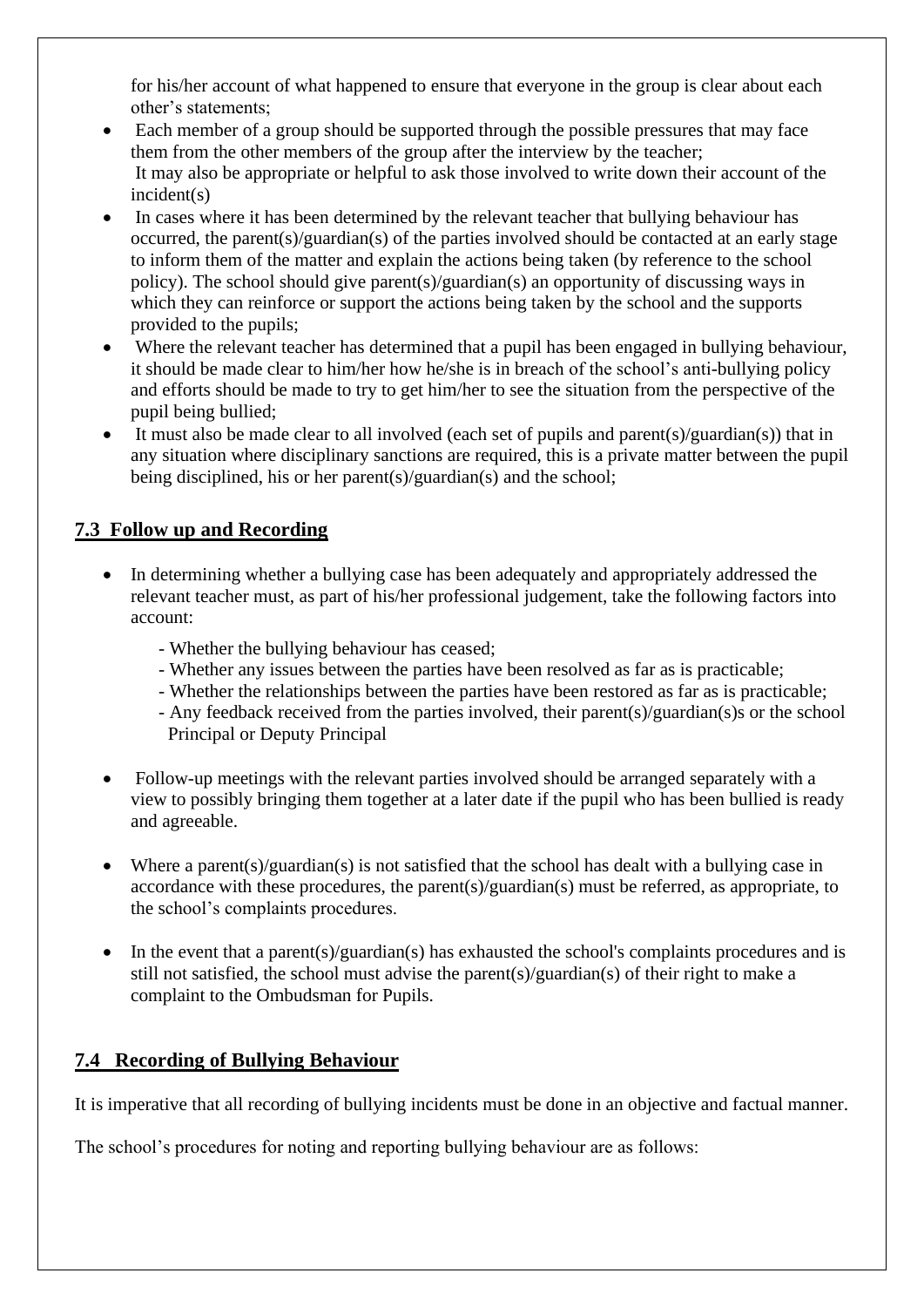for his/her account of what happened to ensure that everyone in the group is clear about each other's statements;

- Each member of a group should be supported through the possible pressures that may face them from the other members of the group after the interview by the teacher; It may also be appropriate or helpful to ask those involved to write down their account of the incident(s)
- In cases where it has been determined by the relevant teacher that bullying behaviour has occurred, the parent(s)/guardian(s) of the parties involved should be contacted at an early stage to inform them of the matter and explain the actions being taken (by reference to the school policy). The school should give parent(s)/guardian(s) an opportunity of discussing ways in which they can reinforce or support the actions being taken by the school and the supports provided to the pupils;
- Where the relevant teacher has determined that a pupil has been engaged in bullying behaviour, it should be made clear to him/her how he/she is in breach of the school's anti-bullying policy and efforts should be made to try to get him/her to see the situation from the perspective of the pupil being bullied;
- It must also be made clear to all involved (each set of pupils and parent(s)/guardian(s)) that in any situation where disciplinary sanctions are required, this is a private matter between the pupil being disciplined, his or her parent(s)/guardian(s) and the school;

#### **7.3 Follow up and Recording**

- In determining whether a bullying case has been adequately and appropriately addressed the relevant teacher must, as part of his/her professional judgement, take the following factors into account:
	- Whether the bullying behaviour has ceased;
	- Whether any issues between the parties have been resolved as far as is practicable;
	- Whether the relationships between the parties have been restored as far as is practicable;
	- Any feedback received from the parties involved, their parent(s)/guardian(s)s or the school Principal or Deputy Principal
- Follow-up meetings with the relevant parties involved should be arranged separately with a view to possibly bringing them together at a later date if the pupil who has been bullied is ready and agreeable.
- Where a parent(s)/guardian(s) is not satisfied that the school has dealt with a bullying case in accordance with these procedures, the parent(s)/guardian(s) must be referred, as appropriate, to the school's complaints procedures.
- In the event that a parent(s)/guardian(s) has exhausted the school's complaints procedures and is still not satisfied, the school must advise the parent(s)/guardian(s) of their right to make a complaint to the Ombudsman for Pupils.

### **7.4 Recording of Bullying Behaviour**

It is imperative that all recording of bullying incidents must be done in an objective and factual manner.

The school's procedures for noting and reporting bullying behaviour are as follows: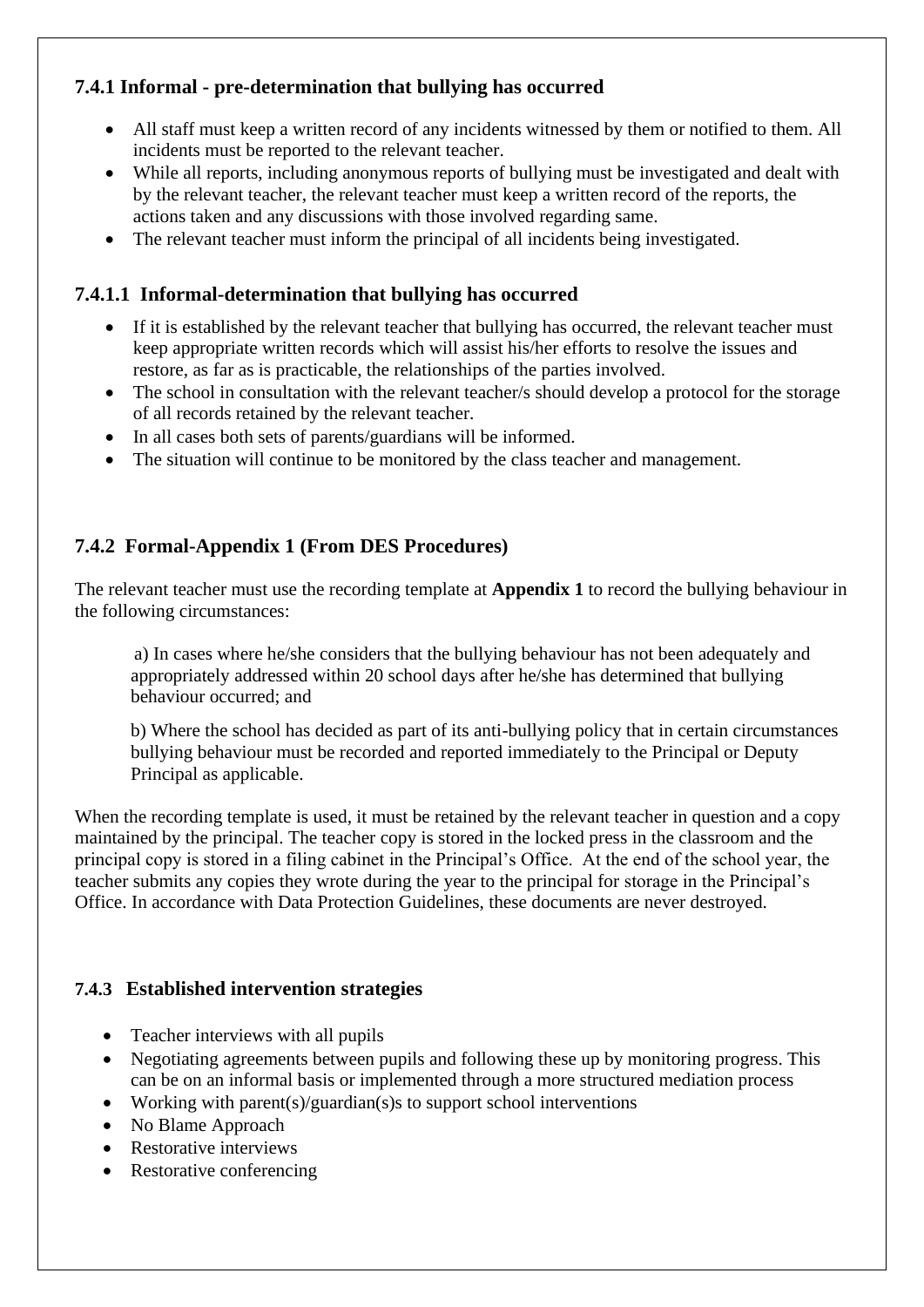## **7.4.1 Informal - pre-determination that bullying has occurred**

- All staff must keep a written record of any incidents witnessed by them or notified to them. All incidents must be reported to the relevant teacher.
- While all reports, including anonymous reports of bullying must be investigated and dealt with by the relevant teacher, the relevant teacher must keep a written record of the reports, the actions taken and any discussions with those involved regarding same.
- The relevant teacher must inform the principal of all incidents being investigated.

#### **7.4.1.1 Informal-determination that bullying has occurred**

- If it is established by the relevant teacher that bullying has occurred, the relevant teacher must keep appropriate written records which will assist his/her efforts to resolve the issues and restore, as far as is practicable, the relationships of the parties involved.
- The school in consultation with the relevant teacher/s should develop a protocol for the storage of all records retained by the relevant teacher.
- In all cases both sets of parents/guardians will be informed.
- The situation will continue to be monitored by the class teacher and management.

#### **7.4.2 Formal-Appendix 1 (From DES Procedures)**

The relevant teacher must use the recording template at **Appendix 1** to record the bullying behaviour in the following circumstances:

a) In cases where he/she considers that the bullying behaviour has not been adequately and appropriately addressed within 20 school days after he/she has determined that bullying behaviour occurred; and

b) Where the school has decided as part of its anti-bullying policy that in certain circumstances bullying behaviour must be recorded and reported immediately to the Principal or Deputy Principal as applicable.

When the recording template is used, it must be retained by the relevant teacher in question and a copy maintained by the principal. The teacher copy is stored in the locked press in the classroom and the principal copy is stored in a filing cabinet in the Principal's Office. At the end of the school year, the teacher submits any copies they wrote during the year to the principal for storage in the Principal's Office. In accordance with Data Protection Guidelines, these documents are never destroyed.

#### **7.4.3 Established intervention strategies**

- Teacher interviews with all pupils
- Negotiating agreements between pupils and following these up by monitoring progress. This can be on an informal basis or implemented through a more structured mediation process
- Working with parent(s)/guardian(s) s to support school interventions
- No Blame Approach
- Restorative interviews
- Restorative conferencing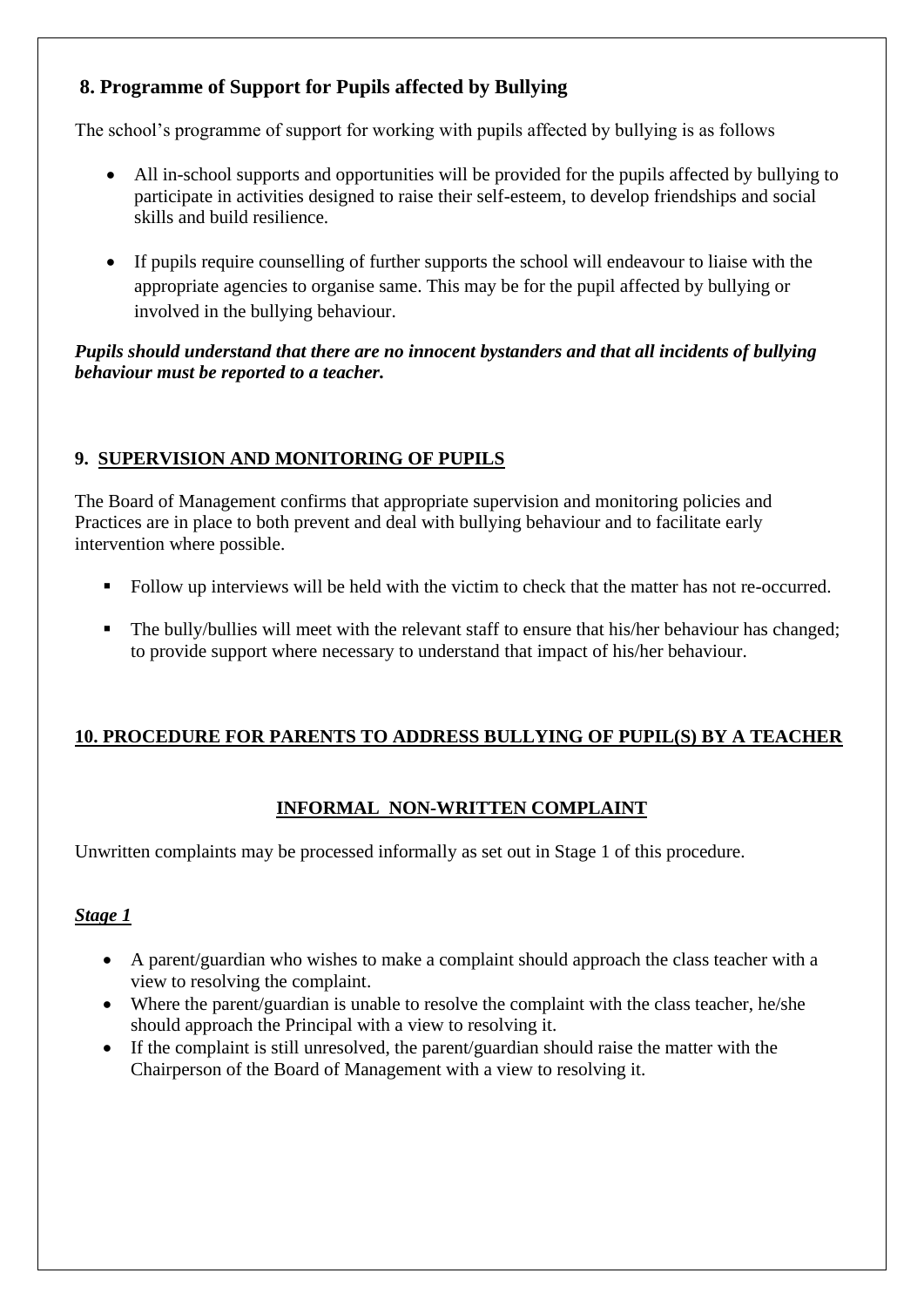## **8. Programme of Support for Pupils affected by Bullying**

The school's programme of support for working with pupils affected by bullying is as follows

- All in-school supports and opportunities will be provided for the pupils affected by bullying to participate in activities designed to raise their self-esteem, to develop friendships and social skills and build resilience.
- If pupils require counselling of further supports the school will endeavour to liaise with the appropriate agencies to organise same. This may be for the pupil affected by bullying or involved in the bullying behaviour.

#### *Pupils should understand that there are no innocent bystanders and that all incidents of bullying behaviour must be reported to a teacher.*

## **9. SUPERVISION AND MONITORING OF PUPILS**

The Board of Management confirms that appropriate supervision and monitoring policies and Practices are in place to both prevent and deal with bullying behaviour and to facilitate early intervention where possible.

- Follow up interviews will be held with the victim to check that the matter has not re-occurred.
- The bully/bullies will meet with the relevant staff to ensure that his/her behaviour has changed; to provide support where necessary to understand that impact of his/her behaviour.

### **10. PROCEDURE FOR PARENTS TO ADDRESS BULLYING OF PUPIL(S) BY A TEACHER**

## **INFORMAL NON-WRITTEN COMPLAINT**

Unwritten complaints may be processed informally as set out in Stage 1 of this procedure.

### *Stage 1*

- A parent/guardian who wishes to make a complaint should approach the class teacher with a view to resolving the complaint.
- Where the parent/guardian is unable to resolve the complaint with the class teacher, he/she should approach the Principal with a view to resolving it.
- If the complaint is still unresolved, the parent/guardian should raise the matter with the Chairperson of the Board of Management with a view to resolving it.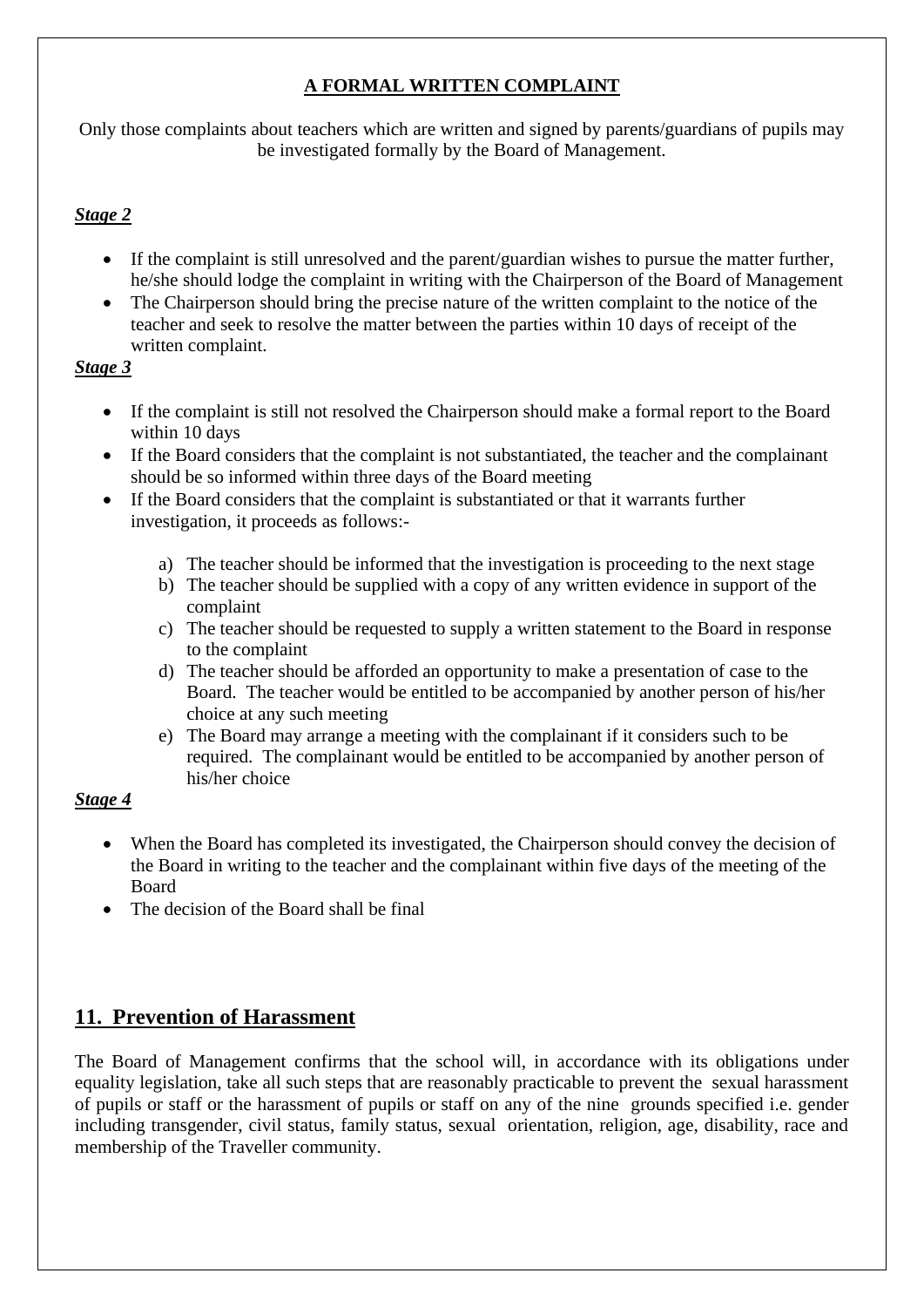### **A FORMAL WRITTEN COMPLAINT**

Only those complaints about teachers which are written and signed by parents/guardians of pupils may be investigated formally by the Board of Management.

#### *Stage 2*

- If the complaint is still unresolved and the parent/guardian wishes to pursue the matter further, he/she should lodge the complaint in writing with the Chairperson of the Board of Management
- The Chairperson should bring the precise nature of the written complaint to the notice of the teacher and seek to resolve the matter between the parties within 10 days of receipt of the written complaint.

#### *Stage 3*

- If the complaint is still not resolved the Chairperson should make a formal report to the Board within 10 days
- If the Board considers that the complaint is not substantiated, the teacher and the complainant should be so informed within three days of the Board meeting
- If the Board considers that the complaint is substantiated or that it warrants further investigation, it proceeds as follows:
	- a) The teacher should be informed that the investigation is proceeding to the next stage
	- b) The teacher should be supplied with a copy of any written evidence in support of the complaint
	- c) The teacher should be requested to supply a written statement to the Board in response to the complaint
	- d) The teacher should be afforded an opportunity to make a presentation of case to the Board. The teacher would be entitled to be accompanied by another person of his/her choice at any such meeting
	- e) The Board may arrange a meeting with the complainant if it considers such to be required. The complainant would be entitled to be accompanied by another person of his/her choice

#### *Stage 4*

- When the Board has completed its investigated, the Chairperson should convey the decision of the Board in writing to the teacher and the complainant within five days of the meeting of the Board
- The decision of the Board shall be final

## **11. Prevention of Harassment**

The Board of Management confirms that the school will, in accordance with its obligations under equality legislation, take all such steps that are reasonably practicable to prevent the sexual harassment of pupils or staff or the harassment of pupils or staff on any of the nine grounds specified i.e. gender including transgender, civil status, family status, sexual orientation, religion, age, disability, race and membership of the Traveller community.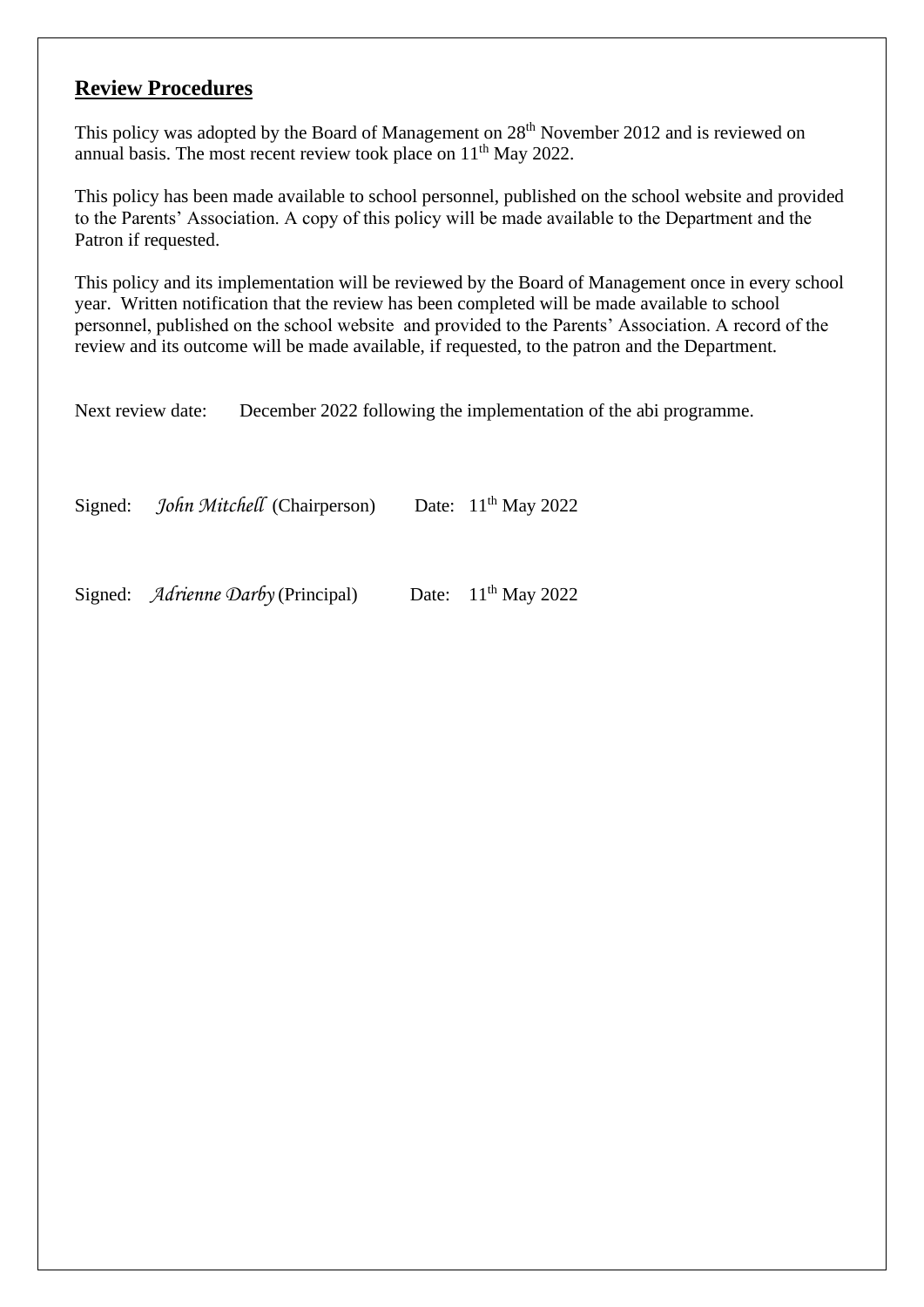## **Review Procedures**

This policy was adopted by the Board of Management on 28<sup>th</sup> November 2012 and is reviewed on annual basis. The most recent review took place on 11<sup>th</sup> May 2022.

This policy has been made available to school personnel, published on the school website and provided to the Parents' Association. A copy of this policy will be made available to the Department and the Patron if requested.

This policy and its implementation will be reviewed by the Board of Management once in every school year. Written notification that the review has been completed will be made available to school personnel, published on the school website and provided to the Parents' Association. A record of the review and its outcome will be made available, if requested, to the patron and the Department.

Next review date: December 2022 following the implementation of the abi programme.

Signed: *John Mitchell* (Chairperson) Date: 11<sup>th</sup> May 2022

Signed: *Adrienne Darby* (Principal) Date: 11<sup>th</sup> May 2022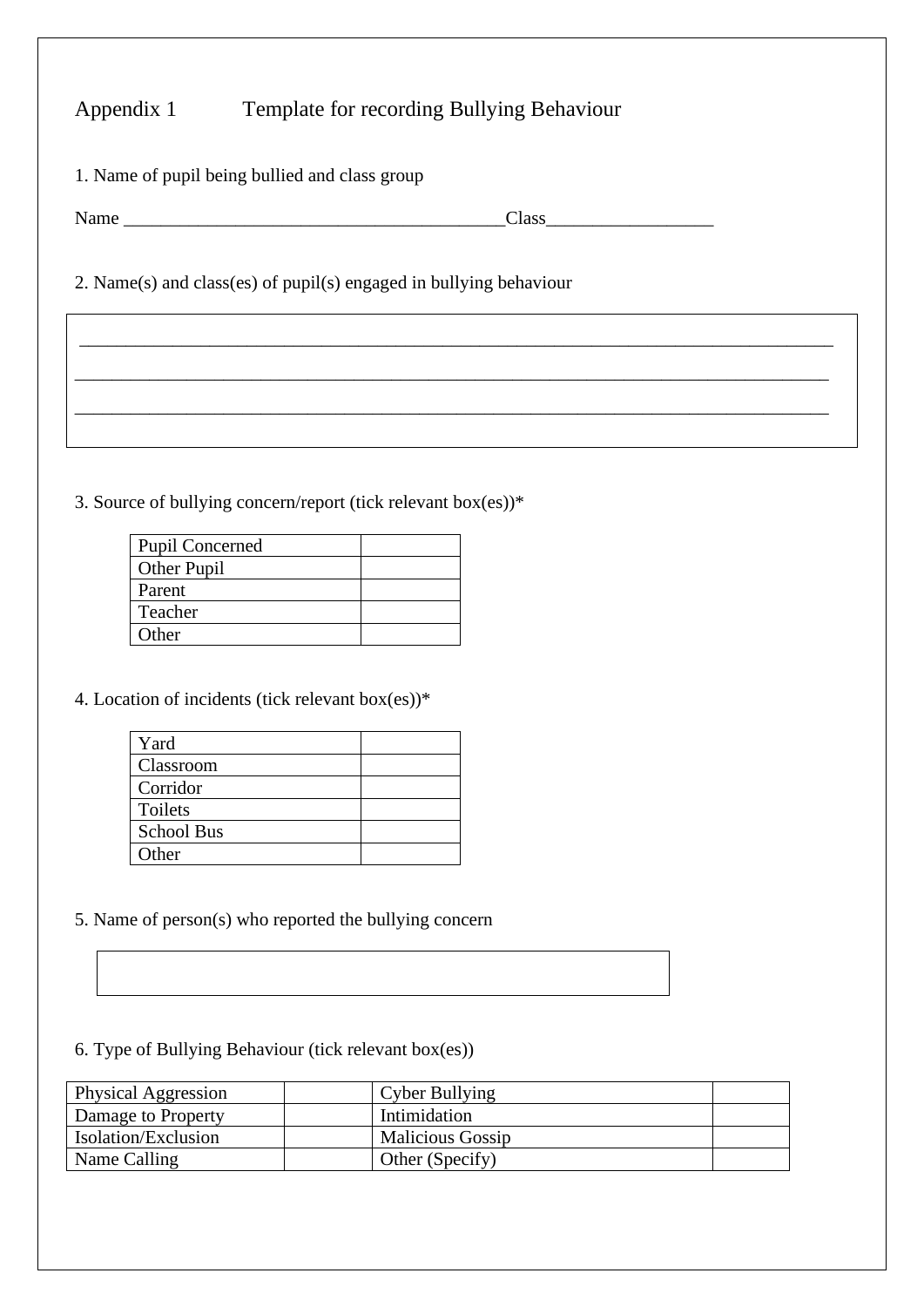## Appendix 1 Template for recording Bullying Behaviour

| 1. Name of pupil being bullied and class group |
|------------------------------------------------|
|------------------------------------------------|

| $\mathbf{v}$<br>n<br>TAUTIC |  |
|-----------------------------|--|
|-----------------------------|--|

\_\_\_\_\_\_\_\_\_\_\_\_\_\_\_\_\_\_\_\_\_\_\_\_\_\_\_\_\_\_\_\_\_\_\_\_\_\_\_\_\_\_\_\_\_\_\_\_\_\_\_\_\_\_\_\_\_\_\_\_\_\_\_\_\_\_\_\_\_\_\_\_\_\_\_\_\_\_\_\_\_

\_\_\_\_\_\_\_\_\_\_\_\_\_\_\_\_\_\_\_\_\_\_\_\_\_\_\_\_\_\_\_\_\_\_\_\_\_\_\_\_\_\_\_\_\_\_\_\_\_\_\_\_\_\_\_\_\_\_\_\_\_\_\_\_\_\_\_\_\_\_\_\_\_\_\_\_\_\_\_\_\_

\_\_\_\_\_\_\_\_\_\_\_\_\_\_\_\_\_\_\_\_\_\_\_\_\_\_\_\_\_\_\_\_\_\_\_\_\_\_\_\_\_\_\_\_\_\_\_\_\_\_\_\_\_\_\_\_\_\_\_\_\_\_\_\_\_\_\_\_\_\_\_\_\_\_\_\_\_\_\_\_\_

2. Name(s) and class(es) of pupil(s) engaged in bullying behaviour

3. Source of bullying concern/report (tick relevant box(es))\*

| <b>Pupil Concerned</b> |  |
|------------------------|--|
| Other Pupil            |  |
| Parent                 |  |
| Teacher                |  |
| Other                  |  |
|                        |  |

#### 4. Location of incidents (tick relevant box(es))\*

| Yard              |  |
|-------------------|--|
| Classroom         |  |
| Corridor          |  |
| Toilets           |  |
| <b>School Bus</b> |  |
| Other             |  |
|                   |  |

5. Name of person(s) who reported the bullying concern

#### 6. Type of Bullying Behaviour (tick relevant box(es))

| Physical Aggression | <b>Cyber Bullying</b>   |  |
|---------------------|-------------------------|--|
| Damage to Property  | Intimidation            |  |
| Isolation/Exclusion | <b>Malicious Gossip</b> |  |
| Name Calling        | Other (Specify)         |  |